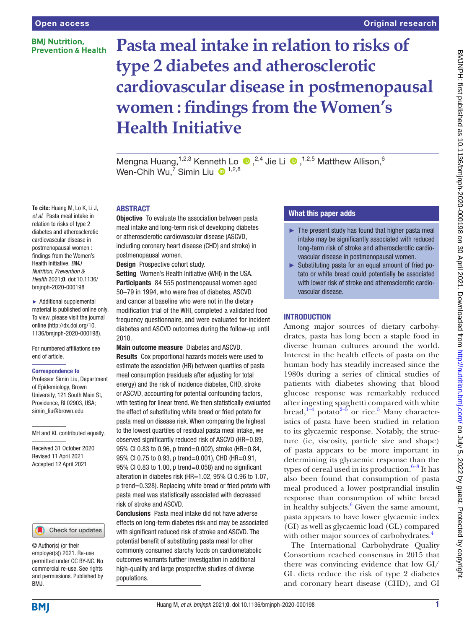## **BMI Nutrition. Prevention & Health**

# **Pasta meal intake in relation to risks of type 2 diabetes and atherosclerotic cardiovascular disease in postmenopausal women : findings from the Women's Health Initiative** Original research

MengnaHuang,<sup>1,2,3</sup> Kenneth Lo  $\bullet$ ,<sup>2,4</sup> Jie Li  $\bullet$ ,<sup>1,2,5</sup> Matthew Allison,<sup>6</sup> Wen-Chih Wu,<sup>7</sup> Simin Liu  $\bullet$  <sup>1,2,8</sup>

To cite: Huang M, Lo K, Li J, *et al*. Pasta meal intake in relation to risks of type 2 diabetes and atherosclerotic cardiovascular disease in postmenopausal women : findings from the Women's Health Initiative. *BMJ Nutrition, Prevention & Health* 2021;0. doi:10.1136/ bmjnph-2020-000198

► Additional supplemental material is published online only. To view, please visit the journal online [\(http://dx.doi.org/10.](http://dx.doi.org/10.1136/bmjnph-2020-000198) [1136/bmjnph-2020-000198](http://dx.doi.org/10.1136/bmjnph-2020-000198)).

For numbered affiliations see end of article.

#### Correspondence to

Professor Simin Liu, Department of Epidemiology, Brown University, 121 South Main St, Providence, RI 02903, USA; simin\_liu@brown.edu

MH and KL contributed equally.

Received 31 October 2020 Revised 11 April 2021 Accepted 12 April 2021

#### Check for updates

© Author(s) (or their employer(s)) 2021. Re-use permitted under CC BY-NC. No commercial re-use. See rights and permissions. Published by BMJ.

# ABSTRACT

**Objective** To evaluate the association between pasta meal intake and long-term risk of developing diabetes or atherosclerotic cardiovascular disease (ASCVD, including coronary heart disease (CHD) and stroke) in postmenopausal women.

Design Prospective cohort study.

Setting Women's Health Initiative (WHI) in the USA. Participants 84 555 postmenopausal women aged 50–79 in 1994, who were free of diabetes, ASCVD and cancer at baseline who were not in the dietary modification trial of the WHI, completed a validated food frequency questionnaire, and were evaluated for incident diabetes and ASCVD outcomes during the follow-up until 2010.

Main outcome measure Diabetes and ASCVD. Results Cox proportional hazards models were used to estimate the association (HR) between quartiles of pasta meal consumption (residuals after adjusting for total energy) and the risk of incidence diabetes, CHD, stroke or ASCVD, accounting for potential confounding factors, with testing for linear trend. We then statistically evaluated the effect of substituting white bread or fried potato for pasta meal on disease risk. When comparing the highest to the lowest quartiles of residual pasta meal intake, we observed significantly reduced risk of ASCVD (HR=0.89, 95% CI 0.83 to 0.96, p trend=0.002), stroke (HR=0.84, 95% CI 0.75 to 0.93, p trend=0.001), CHD (HR=0.91, 95% CI 0.83 to 1.00, p trend=0.058) and no significant alteration in diabetes risk (HR=1.02, 95% CI 0.96 to 1.07, p trend=0.328). Replacing white bread or fried potato with pasta meal was statistically associated with decreased risk of stroke and ASCVD.

Conclusions Pasta meal intake did not have adverse effects on long-term diabetes risk and may be associated with significant reduced risk of stroke and ASCVD. The potential benefit of substituting pasta meal for other commonly consumed starchy foods on cardiometabolic outcomes warrants further investigation in additional high-quality and large prospective studies of diverse populations.

# What this paper adds

- $\blacktriangleright$  The present study has found that higher pasta meal intake may be significantly associated with reduced long-term risk of stroke and atherosclerotic cardiovascular disease in postmenopausal women.
- ► Substituting pasta for an equal amount of fried potato or white bread could potentially be associated with lower risk of stroke and atherosclerotic cardiovascular disease.

## **INTRODUCTION**

Among major sources of dietary carbohydrates, pasta has long been a staple food in diverse human cultures around the world. Interest in the health effects of pasta on the human body has steadily increased since the 1980s during a series of clinical studies of patients with diabetes showing that blood glucose response was remarkably reduced after ingesting spaghetti compared with white bread, $1-4$  potato $2-5$  $2-5$  or rice.<sup>5</sup> Many characteristics of pasta have been studied in relation to its glycaemic response. Notably, the structure (ie, viscosity, particle size and shape) of pasta appears to be more important in determining its glycaemic response than the types of cereal used in its production. $6-8$  It has also been found that consumption of pasta meal produced a lower postprandial insulin response than consumption of white bread in healthy subjects.<sup>[6](#page-9-3)</sup> Given the same amount, pasta appears to have lower glycaemic index (GI) as well as glycaemic load (GL) compared with other major sources of carbohydrates.<sup>[4](#page-9-4)</sup>

The International Carbohydrate Quality Consortium reached consensus in 2015 that there was convincing evidence that low GI/ GL diets reduce the risk of type 2 diabetes and coronary heart disease (CHD), and GI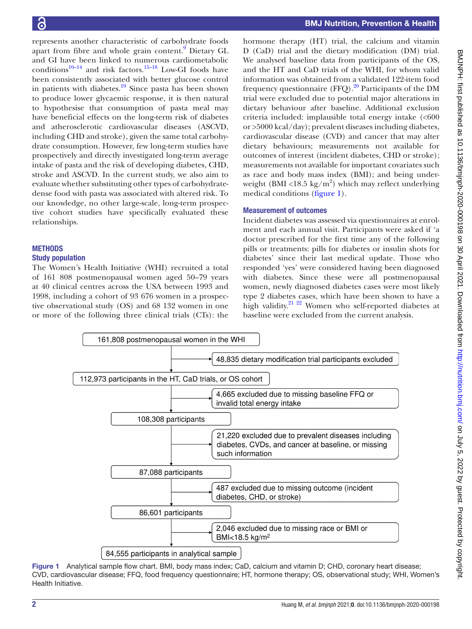represents another characteristic of carbohydrate foods apart from fibre and whole grain content.<sup>9</sup> Dietary GL and GI have been linked to numerous cardiometabolic conditions $10-14$  and risk factors.<sup>15–18</sup> Low-GI foods have been consistently associated with better glucose control in patients with diabetes. $19$  Since pasta has been shown to produce lower glycaemic response, it is then natural to hypothesise that consumption of pasta meal may have beneficial effects on the long-term risk of diabetes and atherosclerotic cardiovascular diseases (ASCVD, including CHD and stroke), given the same total carbohydrate consumption. However, few long-term studies have prospectively and directly investigated long-term average intake of pasta and the risk of developing diabetes, CHD, stroke and ASCVD. In the current study, we also aim to evaluate whether substituting other types of carbohydratedense food with pasta was associated with altered risk. To our knowledge, no other large-scale, long-term prospective cohort studies have specifically evaluated these relationships.

# **METHODS**

## Study population

The Women's Health Initiative (WHI) recruited a total of 161 808 postmenopausal women aged 50–79 years at 40 clinical centres across the USA between 1993 and 1998, including a cohort of 93 676 women in a prospective observational study (OS) and 68 132 women in one or more of the following three clinical trials (CTs): the

hormone therapy (HT) trial, the calcium and vitamin D (CaD) trial and the dietary modification (DM) trial. We analysed baseline data from participants of the OS, and the HT and CaD trials of the WHI, for whom valid information was obtained from a validated 122-item food frequency questionnaire (FFQ). $^{20}$  Participants of the DM trial were excluded due to potential major alterations in dietary behaviour after baseline. Additional exclusion criteria included: implausible total energy intake (<600 or >5000 kcal/day); prevalent diseases including diabetes, cardiovascular disease (CVD) and cancer that may alter dietary behaviours; measurements not available for outcomes of interest (incident diabetes, CHD or stroke); measurements not available for important covariates such as race and body mass index (BMI); and being underweight (BMI <18.5 kg/m<sup>2</sup>) which may reflect underlying medical conditions ([figure](#page-1-0) 1).

# Measurement of outcomes

Incident diabetes was assessed via questionnaires at enrolment and each annual visit. Participants were asked if 'a doctor prescribed for the first time any of the following pills or treatments: pills for diabetes or insulin shots for diabetes' since their last medical update. Those who responded 'yes' were considered having been diagnosed with diabetes. Since these were all postmenopausal women, newly diagnosed diabetes cases were most likely type 2 diabetes cases, which have been shown to have a high validity.<sup>21</sup> <sup>22</sup> Women who self-reported diabetes at baseline were excluded from the current analysis.



<span id="page-1-0"></span>Figure 1 Analytical sample flow chart. BMI, body mass index; CaD, calcium and vitamin D; CHD, coronary heart disease; CVD, cardiovascular disease; FFQ, food frequency questionnaire; HT, hormone therapy; OS, observational study; WHI, Women's Health Initiative.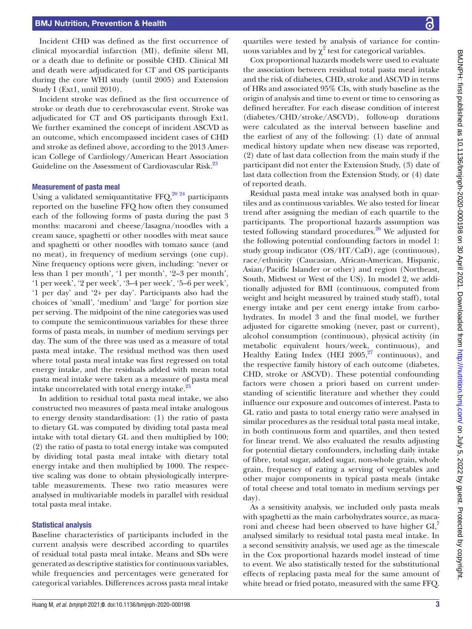Incident CHD was defined as the first occurrence of clinical myocardial infarction (MI), definite silent MI, or a death due to definite or possible CHD. Clinical MI and death were adjudicated for CT and OS participants during the core WHI study (until 2005) and Extension Study I (Ext1, until 2010).

Incident stroke was defined as the first occurrence of stroke or death due to cerebrovascular event. Stroke was adjudicated for CT and OS participants through Ext1. We further examined the concept of incident ASCVD as an outcome, which encompassed incident cases of CHD and stroke as defined above, according to the 2013 American College of Cardiology/American Heart Association Guideline on the Assessment of Cardiovascular Risk.<sup>23</sup>

#### Measurement of pasta meal

Using a validated semiquantitative FFQ, $^{20\,24}$  participants reported on the baseline FFQ how often they consumed each of the following forms of pasta during the past 3 months: macaroni and cheese/lasagna/noodles with a cream sauce, spaghetti or other noodles with meat sauce and spaghetti or other noodles with tomato sauce (and no meat), in frequency of medium servings (one cup). Nine frequency options were given, including: 'never or less than 1 per month', '1 per month', '2–3 per month', '1 per week', '2 per week', '3–4 per week', '5–6 per week', '1 per day' and '2+ per day'. Participants also had the choices of 'small', 'medium' and 'large' for portion size per serving. The midpoint of the nine categories was used to compute the semicontinuous variables for these three forms of pasta meals, in number of medium servings per day. The sum of the three was used as a measure of total pasta meal intake. The residual method was then used where total pasta meal intake was first regressed on total energy intake, and the residuals added with mean total pasta meal intake were taken as a measure of pasta meal intake uncorrelated with total energy intake.<sup>25</sup>

In addition to residual total pasta meal intake, we also constructed two measures of pasta meal intake analogous to energy density standardisation: (1) the ratio of pasta to dietary GL was computed by dividing total pasta meal intake with total dietary GL and then multiplied by 100; (2) the ratio of pasta to total energy intake was computed by dividing total pasta meal intake with dietary total energy intake and then multiplied by 1000. The respective scaling was done to obtain physiologically interpretable measurements. These two ratio measures were analysed in multivariable models in parallel with residual total pasta meal intake.

#### Statistical analysis

Baseline characteristics of participants included in the current analysis were described according to quartiles of residual total pasta meal intake. Means and SDs were generated as descriptive statistics for continuous variables, while frequencies and percentages were generated for categorical variables. Differences across pasta meal intake

quartiles were tested by analysis of variance for continuous variables and by  $\chi^2$  test for categorical variables.

Cox proportional hazards models were used to evaluate the association between residual total pasta meal intake and the risk of diabetes, CHD, stroke and ASCVD in terms of HRs and associated 95% CIs, with study baseline as the origin of analysis and time to event or time to censoring as defined hereafter. For each disease condition of interest (diabetes/CHD/stroke/ASCVD), follow-up durations were calculated as the interval between baseline and the earliest of any of the following: (1) date of annual medical history update when new disease was reported, (2) date of last data collection from the main study if the participant did not enter the Extension Study, (3) date of last data collection from the Extension Study, or (4) date of reported death.

Residual pasta meal intake was analysed both in quartiles and as continuous variables. We also tested for linear trend after assigning the median of each quartile to the participants. The proportional hazards assumption was tested following standard procedures.<sup>26</sup> We adjusted for the following potential confounding factors in model 1: study group indicator (OS/HT/CaD), age (continuous), race/ethnicity (Caucasian, African-American, Hispanic, Asian/Pacific Islander or other) and region (Northeast, South, Midwest or West of the US). In model 2, we additionally adjusted for BMI (continuous, computed from weight and height measured by trained study staff), total energy intake and per cent energy intake from carbohydrates. In model 3 and the final model, we further adjusted for cigarette smoking (never, past or current), alcohol consumption (continuous), physical activity (in metabolic equivalent hours/week, continuous), and Healthy Eating Index (HEI  $2005$ ,  $27$  continuous), and the respective family history of each outcome (diabetes, CHD, stroke or ASCVD). These potential confounding factors were chosen a priori based on current understanding of scientific literature and whether they could influence our exposure and outcomes of interest. Pasta to GL ratio and pasta to total energy ratio were analysed in similar procedures as the residual total pasta meal intake, in both continuous form and quartiles, and then tested for linear trend. We also evaluated the results adjusting for potential dietary confounders, including daily intake of fibre, total sugar, added sugar, non-whole grain, whole grain, frequency of eating a serving of vegetables and other major components in typical pasta meals (intake of total cheese and total tomato in medium servings per day).

As a sensitivity analysis, we included only pasta meals with spaghetti as the main carbohydrates source, as maca-roni and cheese had been observed to have higher GI,<sup>[7](#page-9-8)</sup> analysed similarly to residual total pasta meal intake. In a second sensitivity analysis, we used age as the timescale in the Cox proportional hazards model instead of time to event. We also statistically tested for the substitutional effects of replacing pasta meal for the same amount of white bread or fried potato, measured with the same FFQ.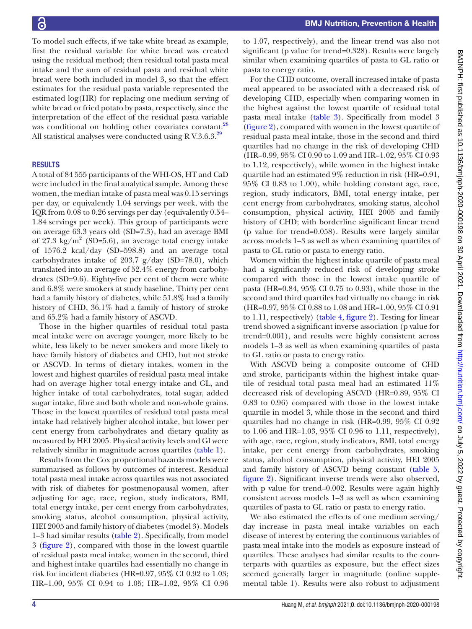To model such effects, if we take white bread as example, first the residual variable for white bread was created using the residual method; then residual total pasta meal intake and the sum of residual pasta and residual white bread were both included in model 3, so that the effect estimates for the residual pasta variable represented the estimated log(HR) for replacing one medium serving of white bread or fried potato by pasta, respectively, since the interpretation of the effect of the residual pasta variable was conditional on holding other covariates constant.<sup>28</sup> All statistical analyses were conducted using R V.3.6.3.<sup>[29](#page-10-8)</sup>

## **RESULTS**

A total of 84 555 participants of the WHI-OS, HT and CaD were included in the final analytical sample. Among these women, the median intake of pasta meal was 0.15 servings per day, or equivalently 1.04 servings per week, with the IQR from 0.08 to 0.26 servings per day (equivalently 0.54– 1.84 servings per week). This group of participants were on average 63.3 years old (SD=7.3), had an average BMI of 27.3  $\text{kg/m}^2$  (SD=5.6), an average total energy intake of 1576.2 kcal/day (SD=598.8) and an average total carbohydrates intake of 203.7  $g/day$  (SD=78.0), which translated into an average of 52.4% energy from carbohydrates (SD=9.6). Eighty-five per cent of them were white and 6.8% were smokers at study baseline. Thirty per cent had a family history of diabetes, while 51.8% had a family history of CHD, 36.1% had a family of history of stroke and 65.2% had a family history of ASCVD.

Those in the higher quartiles of residual total pasta meal intake were on average younger, more likely to be white, less likely to be never smokers and more likely to have family history of diabetes and CHD, but not stroke or ASCVD. In terms of dietary intakes, women in the lowest and highest quartiles of residual pasta meal intake had on average higher total energy intake and GL, and higher intake of total carbohydrates, total sugar, added sugar intake, fibre and both whole and non-whole grains. Those in the lowest quartiles of residual total pasta meal intake had relatively higher alcohol intake, but lower per cent energy from carbohydrates and dietary quality as measured by HEI 2005. Physical activity levels and GI were relatively similar in magnitude across quartiles [\(table](#page-4-0) 1).

Results from the Cox proportional hazards models were summarised as follows by outcomes of interest. Residual total pasta meal intake across quartiles was not associated with risk of diabetes for postmenopausal women, after adjusting for age, race, region, study indicators, BMI, total energy intake, per cent energy from carbohydrates, smoking status, alcohol consumption, physical activity, HEI 2005 and family history of diabetes (model 3). Models 1–3 had similar results ([table](#page-5-0) 2). Specifically, from model 3 [\(figure](#page-5-1) 2), compared with those in the lowest quartile of residual pasta meal intake, women in the second, third and highest intake quartiles had essentially no change in risk for incident diabetes (HR=0.97, 95% CI 0.92 to 1.03; HR=1.00, 95% CI 0.94 to 1.05; HR=1.02, 95% CI 0.96

to 1.07, respectively), and the linear trend was also not significant (p value for trend=0.328). Results were largely similar when examining quartiles of pasta to GL ratio or pasta to energy ratio.

For the CHD outcome, overall increased intake of pasta meal appeared to be associated with a decreased risk of developing CHD, especially when comparing women in the highest against the lowest quartile of residual total pasta meal intake [\(table](#page-6-0) 3). Specifically from model 3 [\(figure](#page-5-1) 2), compared with women in the lowest quartile of residual pasta meal intake, those in the second and third quartiles had no change in the risk of developing CHD (HR=0.99, 95% CI 0.90 to 1.09 and HR=1.02, 95% CI 0.93 to 1.12, respectively), while women in the highest intake quartile had an estimated 9% reduction in risk (HR=0.91, 95% CI 0.83 to 1.00), while holding constant age, race, region, study indicators, BMI, total energy intake, per cent energy from carbohydrates, smoking status, alcohol consumption, physical activity, HEI 2005 and family history of CHD; with borderline significant linear trend (p value for trend=0.058). Results were largely similar across models 1–3 as well as when examining quartiles of pasta to GL ratio or pasta to energy ratio.

Women within the highest intake quartile of pasta meal had a significantly reduced risk of developing stroke compared with those in the lowest intake quartile of pasta (HR=0.84, 95% CI 0.75 to 0.93), while those in the second and third quartiles had virtually no change in risk (HR=0.97, 95% CI 0.88 to 1.08 and HR=1.00, 95% CI 0.91 to 1.11, respectively) ([table](#page-7-0) 4, [figure](#page-5-1) 2). Testing for linear trend showed a significant inverse association (p value for trend=0.001), and results were highly consistent across models 1–3 as well as when examining quartiles of pasta to GL ratio or pasta to energy ratio.

With ASCVD being a composite outcome of CHD and stroke, participants within the highest intake quartile of residual total pasta meal had an estimated 11% decreased risk of developing ASCVD (HR=0.89, 95% CI 0.83 to 0.96) compared with those in the lowest intake quartile in model 3, while those in the second and third quartiles had no change in risk (HR=0.99, 95% CI 0.92 to 1.06 and HR=1.03, 95% CI 0.96 to 1.11, respectively), with age, race, region, study indicators, BMI, total energy intake, per cent energy from carbohydrates, smoking status, alcohol consumption, physical activity, HEI 2005 and family history of ASCVD being constant ([table](#page-8-0) 5, [figure](#page-5-1) 2). Significant inverse trends were also observed, with p value for trend=0.002. Results were again highly consistent across models 1–3 as well as when examining quartiles of pasta to GL ratio or pasta to energy ratio.

We also estimated the effects of one medium serving/ day increase in pasta meal intake variables on each disease of interest by entering the continuous variables of pasta meal intake into the models as exposure instead of quartiles. These analyses had similar results to the counterparts with quartiles as exposure, but the effect sizes seemed generally larger in magnitude [\(online supple](https://dx.doi.org/10.1136/bmjnph-2020-000198)[mental table 1\)](https://dx.doi.org/10.1136/bmjnph-2020-000198). Results were also robust to adjustment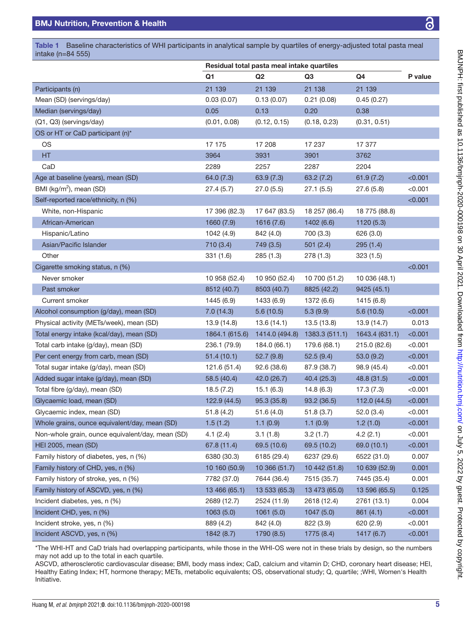intake (n=84 555)

|                                                  | Residual total pasta meal intake quartiles |                |                |                |         |
|--------------------------------------------------|--------------------------------------------|----------------|----------------|----------------|---------|
|                                                  | Q1                                         | Q2             | Q3             | Q4             | P value |
| Participants (n)                                 | 21 139                                     | 21 139         | 21 138         | 21 139         |         |
| Mean (SD) (servings/day)                         | 0.03(0.07)                                 | 0.13(0.07)     | 0.21(0.08)     | 0.45(0.27)     |         |
| Median (servings/day)                            | 0.05                                       | 0.13           | 0.20           | 0.38           |         |
| (Q1, Q3) (servings/day)                          | (0.01, 0.08)                               | (0.12, 0.15)   | (0.18, 0.23)   | (0.31, 0.51)   |         |
| OS or HT or CaD participant (n)*                 |                                            |                |                |                |         |
| OS                                               | 17 175                                     | 17 208         | 17 237         | 17 377         |         |
| HT.                                              | 3964                                       | 3931           | 3901           | 3762           |         |
| CaD                                              | 2289                                       | 2257           | 2287           | 2204           |         |
| Age at baseline (years), mean (SD)               | 64.0 (7.3)                                 | 63.9(7.3)      | 63.2(7.2)      | 61.9(7.2)      | < 0.001 |
| BMI (kg/m <sup>2</sup> ), mean (SD)              | 27.4(5.7)                                  | 27.0(5.5)      | 27.1(5.5)      | 27.6(5.8)      | < 0.001 |
| Self-reported race/ethnicity, n (%)              |                                            |                |                |                | < 0.001 |
| White, non-Hispanic                              | 17 396 (82.3)                              | 17 647 (83.5)  | 18 257 (86.4)  | 18 775 (88.8)  |         |
| African-American                                 | 1660 (7.9)                                 | 1616 (7.6)     | 1402 (6.6)     | 1120(5.3)      |         |
| Hispanic/Latino                                  | 1042 (4.9)                                 | 842 (4.0)      | 700 (3.3)      | 626 (3.0)      |         |
| Asian/Pacific Islander                           | 710 (3.4)                                  | 749 (3.5)      | 501(2.4)       | 295(1.4)       |         |
| Other                                            | 331(1.6)                                   | 285(1.3)       | 278 (1.3)      | 323(1.5)       |         |
| Cigarette smoking status, n (%)                  |                                            |                |                |                | < 0.001 |
| Never smoker                                     | 10 958 (52.4)                              | 10 950 (52.4)  | 10 700 (51.2)  | 10 036 (48.1)  |         |
| Past smoker                                      | 8512 (40.7)                                | 8503 (40.7)    | 8825 (42.2)    | 9425 (45.1)    |         |
| Current smoker                                   | 1445 (6.9)                                 | 1433 (6.9)     | 1372 (6.6)     | 1415 (6.8)     |         |
| Alcohol consumption (g/day), mean (SD)           | 7.0(14.3)                                  | 5.6(10.5)      | 5.3(9.9)       | 5.6(10.5)      | < 0.001 |
| Physical activity (METs/week), mean (SD)         | 13.9 (14.8)                                | 13.6(14.1)     | 13.5 (13.8)    | 13.9 (14.7)    | 0.013   |
| Total energy intake (kcal/day), mean (SD)        | 1864.1 (615.6)                             | 1414.0 (494.8) | 1383.3 (511.1) | 1643.4 (631.1) | < 0.001 |
| Total carb intake (g/day), mean (SD)             | 236.1 (79.9)                               | 184.0 (66.1)   | 179.6 (68.1)   | 215.0 (82.6)   | < 0.001 |
| Per cent energy from carb, mean (SD)             | 51.4(10.1)                                 | 52.7(9.8)      | 52.5(9.4)      | 53.0(9.2)      | < 0.001 |
| Total sugar intake (g/day), mean (SD)            | 121.6 (51.4)                               | 92.6(38.6)     | 87.9 (38.7)    | 98.9 (45.4)    | < 0.001 |
| Added sugar intake (g/day), mean (SD)            | 58.5 (40.4)                                | 42.0 (26.7)    | 40.4 (25.3)    | 48.8 (31.5)    | < 0.001 |
| Total fibre (g/day), mean (SD)                   | 18.5(7.2)                                  | 15.1(6.3)      | 14.8(6.3)      | 17.3(7.3)      | < 0.001 |
| Glycaemic load, mean (SD)                        | 122.9(44.5)                                | 95.3(35.8)     | 93.2(36.5)     | 112.0 (44.5)   | < 0.001 |
| Glycaemic index, mean (SD)                       | 51.8(4.2)                                  | 51.6(4.0)      | 51.8(3.7)      | 52.0 (3.4)     | < 0.001 |
| Whole grains, ounce equivalent/day, mean (SD)    | 1.5(1.2)                                   | 1.1(0.9)       | 1.1(0.9)       | 1.2(1.0)       | < 0.001 |
| Non-whole grain, ounce equivalent/day, mean (SD) | 4.1(2.4)                                   | 3.1(1.8)       | 3.2(1.7)       | 4.2(2.1)       | < 0.001 |
| HEI 2005, mean (SD)                              | 67.8 (11.4)                                | 69.5 (10.6)    | 69.5 (10.2)    | 69.0 (10.1)    | < 0.001 |
| Family history of diabetes, yes, n (%)           | 6380 (30.3)                                | 6185 (29.4)    | 6237 (29.6)    | 6522 (31.0)    | 0.007   |
| Family history of CHD, yes, n (%)                | 10 160 (50.9)                              | 10 366 (51.7)  | 10 442 (51.8)  | 10 639 (52.9)  | 0.001   |
| Family history of stroke, yes, n (%)             | 7782 (37.0)                                | 7644 (36.4)    | 7515 (35.7)    | 7445 (35.4)    | 0.001   |
| Family history of ASCVD, yes, n (%)              | 13 466 (65.1)                              | 13 533 (65.3)  | 13 473 (65.0)  | 13 596 (65.5)  | 0.125   |
| Incident diabetes, yes, n (%)                    | 2689 (12.7)                                | 2524 (11.9)    | 2618 (12.4)    | 2761 (13.1)    | 0.004   |
| Incident CHD, yes, n (%)                         |                                            |                |                |                |         |
|                                                  | 1063(5.0)                                  | 1061(5.0)      | 1047(5.0)      | 861 (4.1)      | < 0.001 |
| Incident stroke, yes, n (%)                      | 889 (4.2)                                  | 842 (4.0)      | 822 (3.9)      | 620 (2.9)      | < 0.001 |

<span id="page-4-0"></span>Table 1 Baseline characteristics of WHI participants in analytical sample by quartiles of energy-adjusted total pasta meal

\*The WHI-HT and CaD trials had overlapping participants, while those in the WHI-OS were not in these trials by design, so the numbers may not add up to the total in each quartile.

ASCVD, atherosclerotic cardiovascular disease; BMI, body mass index; CaD, calcium and vitamin D; CHD, coronary heart disease; HEI, Healthy Eating Index; HT, hormone therapy; METs, metabolic equivalents; OS, observational study; Q, quartile; ;WHI, Women's Health Initiative.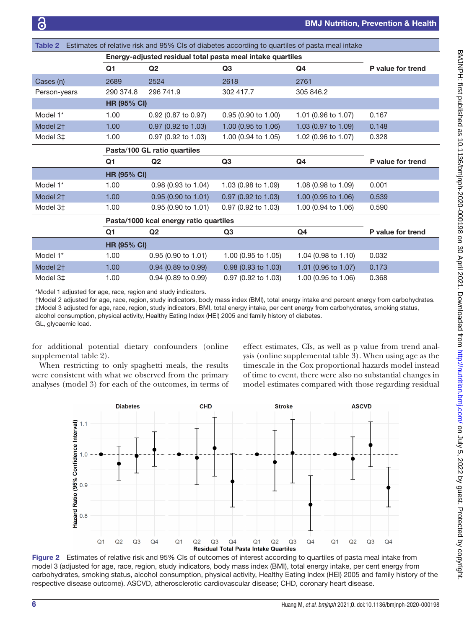<span id="page-5-0"></span>

| Estimates of relative risk and 95% CIs of diabetes according to quartiles of pasta meal intake<br>Table 2 |                                                            |                       |                                |                     |                   |  |
|-----------------------------------------------------------------------------------------------------------|------------------------------------------------------------|-----------------------|--------------------------------|---------------------|-------------------|--|
|                                                                                                           | Energy-adjusted residual total pasta meal intake quartiles |                       |                                |                     |                   |  |
|                                                                                                           | Q <sub>1</sub>                                             | Q <sub>2</sub>        | Q <sub>3</sub>                 | Q4                  | P value for trend |  |
| Cases (n)                                                                                                 | 2689                                                       | 2524                  | 2618                           | 2761                |                   |  |
| Person-years                                                                                              | 290 374.8                                                  | 296 741.9             | 302 417.7                      | 305 846.2           |                   |  |
|                                                                                                           | <b>HR (95% CI)</b>                                         |                       |                                |                     |                   |  |
| Model 1*                                                                                                  | 1.00                                                       | 0.92 (0.87 to 0.97)   | 0.95 (0.90 to 1.00)            | 1.01 (0.96 to 1.07) | 0.167             |  |
| Model 2 <sup>+</sup>                                                                                      | 1.00                                                       | 0.97 (0.92 to 1.03)   | 1.00 (0.95 to 1.06)            | 1.03 (0.97 to 1.09) | 0.148             |  |
| Model 3‡                                                                                                  | 1.00                                                       | $0.97$ (0.92 to 1.03) | 1.00 (0.94 to 1.05)            | 1.02 (0.96 to 1.07) | 0.328             |  |
|                                                                                                           | Pasta/100 GL ratio quartiles                               |                       |                                |                     |                   |  |
|                                                                                                           | Q1                                                         | Q <sub>2</sub>        | Q <sub>3</sub>                 | Q <sub>4</sub>      | P value for trend |  |
|                                                                                                           | <b>HR (95% CI)</b>                                         |                       |                                |                     |                   |  |
| Model 1*                                                                                                  | 1.00                                                       | $0.98$ (0.93 to 1.04) | 1.03 $(0.98 \text{ to } 1.09)$ | 1.08 (0.98 to 1.09) | 0.001             |  |
| Model 2 <sup>+</sup>                                                                                      | 1.00                                                       | $0.95$ (0.90 to 1.01) | 0.97 (0.92 to 1.03)            | 1.00 (0.95 to 1.06) | 0.539             |  |
| Model 3‡                                                                                                  | 1.00                                                       | 0.95(0.90 to 1.01)    | 0.97 (0.92 to 1.03)            | 1.00 (0.94 to 1.06) | 0.590             |  |
|                                                                                                           | Pasta/1000 kcal energy ratio quartiles                     |                       |                                |                     |                   |  |
|                                                                                                           | Q1                                                         | Q <sub>2</sub>        | Q3                             | Q4                  | P value for trend |  |
|                                                                                                           | <b>HR (95% CI)</b>                                         |                       |                                |                     |                   |  |
| Model 1*                                                                                                  | 1.00                                                       | 0.95(0.90 to 1.01)    | 1.00 (0.95 to 1.05)            | 1.04 (0.98 to 1.10) | 0.032             |  |
| Model 2 <sup>+</sup>                                                                                      | 1.00                                                       | 0.94 (0.89 to 0.99)   | 0.98 (0.93 to 1.03)            | 1.01 (0.96 to 1.07) | 0.173             |  |
| Model 3‡                                                                                                  | 1.00                                                       | $0.94$ (0.89 to 0.99) | 0.97 (0.92 to 1.03)            | 1.00 (0.95 to 1.06) | 0.368             |  |

\*Model 1 adjusted for age, race, region and study indicators.

†Model 2 adjusted for age, race, region, study indicators, body mass index (BMI), total energy intake and percent energy from carbohydrates. ‡Model 3 adjusted for age, race, region, study indicators, BMI, total energy intake, per cent energy from carbohydrates, smoking status, alcohol consumption, physical activity, Healthy Eating Index (HEI) 2005 and family history of diabetes.

GL, glycaemic load.

for additional potential dietary confounders [\(online](https://dx.doi.org/10.1136/bmjnph-2020-000198) [supplemental table 2](https://dx.doi.org/10.1136/bmjnph-2020-000198)).

When restricting to only spaghetti meals, the results were consistent with what we observed from the primary analyses (model 3) for each of the outcomes, in terms of

effect estimates, CIs, as well as p value from trend analysis ([online supplemental table 3\)](https://dx.doi.org/10.1136/bmjnph-2020-000198). When using age as the timescale in the Cox proportional hazards model instead of time to event, there were also no substantial changes in model estimates compared with those regarding residual



<span id="page-5-1"></span>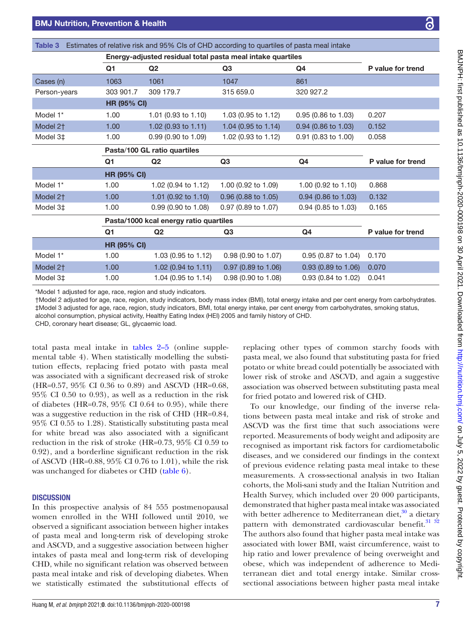| Energy-adjusted residual total pasta meal intake quartiles |                       |                                                                                                |                                        |                   |
|------------------------------------------------------------|-----------------------|------------------------------------------------------------------------------------------------|----------------------------------------|-------------------|
| Q1                                                         | Q <sub>2</sub>        | Q3                                                                                             | Q4                                     | P value for trend |
| 1063                                                       | 1061                  | 1047                                                                                           | 861                                    |                   |
| 303 901.7                                                  | 309 179.7             | 315 659.0                                                                                      | 320 927.2                              |                   |
|                                                            |                       |                                                                                                |                                        |                   |
| 1.00                                                       | 1.01 (0.93 to 1.10)   | 1.03 (0.95 to 1.12)                                                                            | 0.95 (0.86 to 1.03)                    | 0.207             |
| 1.00                                                       | 1.02 (0.93 to 1.11)   | 1.04 (0.95 to 1.14)                                                                            | 0.94 (0.86 to 1.03)                    | 0.152             |
| 1.00                                                       | $0.99$ (0.90 to 1.09) | 1.02 (0.93 to 1.12)                                                                            | 0.91 (0.83 to 1.00)                    | 0.058             |
|                                                            |                       |                                                                                                |                                        |                   |
| Q <sub>1</sub>                                             | Q2                    | Q3                                                                                             | Q <sub>4</sub>                         | P value for trend |
|                                                            |                       |                                                                                                |                                        |                   |
| 1.00                                                       | 1.02 (0.94 to 1.12)   | 1.00 (0.92 to 1.09)                                                                            | 1.00 $(0.92 \text{ to } 1.10)$         | 0.868             |
| 1.00                                                       | 1.01 (0.92 to 1.10)   | 0.96 (0.88 to 1.05)                                                                            | $0.94$ (0.86 to 1.03)                  | 0.132             |
| 1.00                                                       | $0.99$ (0.90 to 1.08) | $0.97$ (0.89 to 1.07)                                                                          | 0.94 (0.85 to 1.03)                    | 0.165             |
|                                                            |                       |                                                                                                |                                        |                   |
| Q <sub>1</sub>                                             | Q2                    | Q3                                                                                             | Q4                                     | P value for trend |
|                                                            |                       |                                                                                                |                                        |                   |
| 1.00                                                       | 1.03 (0.95 to 1.12)   | 0.98 (0.90 to 1.07)                                                                            | 0.95 (0.87 to 1.04)                    | 0.170             |
|                                                            |                       |                                                                                                | 0.93 (0.89 to 1.06)                    | 0.070             |
| 1.00                                                       | 1.02 (0.94 to 1.11)   | 0.97 (0.89 to 1.06)                                                                            |                                        |                   |
|                                                            |                       | <b>HR (95% CI)</b><br>Pasta/100 GL ratio quartiles<br><b>HR (95% CI)</b><br><b>HR (95% CI)</b> | Pasta/1000 kcal energy ratio quartiles |                   |

<span id="page-6-0"></span>Table 3 Estimates of relative risk and 95% CIs of CHD according to quartiles of pasta meal intake

†Model 2 adjusted for age, race, region, study indicators, body mass index (BMI), total energy intake and per cent energy from carbohydrates. ‡Model 3 adjusted for age, race, region, study indicators, BMI, total energy intake, per cent energy from carbohydrates, smoking status,

alcohol consumption, physical activity, Healthy Eating Index (HEI) 2005 and family history of CHD.

CHD, coronary heart disease; GL, glycaemic load.

total pasta meal intake in [tables](#page-5-0) 2–5 [\(online supple](https://dx.doi.org/10.1136/bmjnph-2020-000198)[mental table 4\)](https://dx.doi.org/10.1136/bmjnph-2020-000198). When statistically modelling the substitution effects, replacing fried potato with pasta meal was associated with a significant decreased risk of stroke (HR=0.57, 95% CI 0.36 to 0.89) and ASCVD (HR=0.68, 95% CI 0.50 to 0.93), as well as a reduction in the risk of diabetes (HR=0.78, 95% CI 0.64 to 0.95), while there was a suggestive reduction in the risk of CHD (HR=0.84, 95% CI 0.55 to 1.28). Statistically substituting pasta meal for white bread was also associated with a significant reduction in the risk of stroke (HR=0.73, 95% CI 0.59 to 0.92), and a borderline significant reduction in the risk of ASCVD (HR=0.88, 95% CI 0.76 to 1.01), while the risk was unchanged for diabetes or CHD [\(table](#page-8-1) 6).

### **DISCUSSION**

In this prospective analysis of 84 555 postmenopausal women enrolled in the WHI followed until 2010, we observed a significant association between higher intakes of pasta meal and long-term risk of developing stroke and ASCVD, and a suggestive association between higher intakes of pasta meal and long-term risk of developing CHD, while no significant relation was observed between pasta meal intake and risk of developing diabetes. When we statistically estimated the substitutional effects of replacing other types of common starchy foods with pasta meal, we also found that substituting pasta for fried potato or white bread could potentially be associated with lower risk of stroke and ASCVD, and again a suggestive association was observed between substituting pasta meal for fried potato and lowered risk of CHD.

To our knowledge, our finding of the inverse relations between pasta meal intake and risk of stroke and ASCVD was the first time that such associations were reported. Measurements of body weight and adiposity are recognised as important risk factors for cardiometabolic diseases, and we considered our findings in the context of previous evidence relating pasta meal intake to these measurements. A cross-sectional analysis in two Italian cohorts, the Moli-sani study and the Italian Nutrition and Health Survey, which included over 20 000 participants, demonstrated that higher pasta meal intake was associated with better adherence to Mediterranean diet, $30$  a dietary pattern with demonstrated cardiovascular benefit.<sup>31</sup> <sup>32</sup> The authors also found that higher pasta meal intake was associated with lower BMI, waist circumference, waist to hip ratio and lower prevalence of being overweight and obese, which was independent of adherence to Mediterranean diet and total energy intake. Similar crosssectional associations between higher pasta meal intake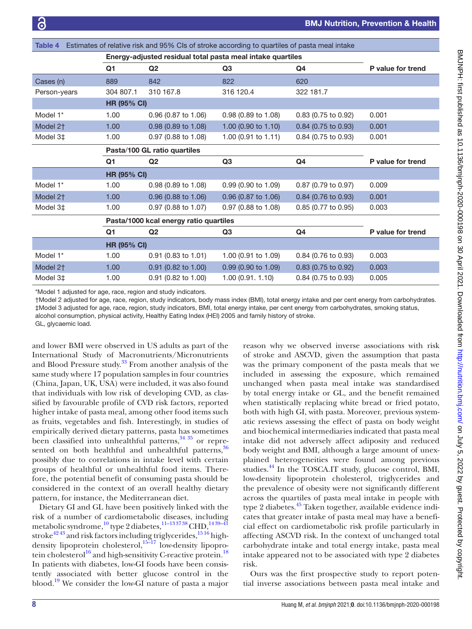<span id="page-7-0"></span>

| Estimates of relative risk and 95% CIs of stroke according to quartiles of pasta meal intake<br><b>Table 4</b> |                                        |                       |                     |                       |                   |  |
|----------------------------------------------------------------------------------------------------------------|----------------------------------------|-----------------------|---------------------|-----------------------|-------------------|--|
| Energy-adjusted residual total pasta meal intake quartiles                                                     |                                        |                       |                     |                       |                   |  |
|                                                                                                                | Q <sub>1</sub>                         | Q <sub>2</sub>        | Q <sub>3</sub>      | Q4                    | P value for trend |  |
| Cases (n)                                                                                                      | 889                                    | 842                   | 822                 | 620                   |                   |  |
| Person-years                                                                                                   | 304 807.1                              | 310 167.8             | 316 120.4           | 322 181.7             |                   |  |
|                                                                                                                | <b>HR (95% CI)</b>                     |                       |                     |                       |                   |  |
| Model 1*                                                                                                       | 1.00                                   | 0.96 (0.87 to 1.06)   | 0.98 (0.89 to 1.08) | 0.83 (0.75 to 0.92)   | 0.001             |  |
| Model 2 <sup>+</sup>                                                                                           | 1.00                                   | 0.98 (0.89 to 1.08)   | 1.00 (0.90 to 1.10) | 0.84 (0.75 to 0.93)   | 0.001             |  |
| Model 3‡                                                                                                       | 1.00                                   | $0.97$ (0.88 to 1.08) | 1.00 (0.91 to 1.11) | 0.84 (0.75 to 0.93)   | 0.001             |  |
|                                                                                                                | Pasta/100 GL ratio quartiles           |                       |                     |                       |                   |  |
|                                                                                                                | Q1                                     | Q <sub>2</sub>        | Q <sub>3</sub>      | Q4                    | P value for trend |  |
|                                                                                                                | <b>HR (95% CI)</b>                     |                       |                     |                       |                   |  |
| Model 1*                                                                                                       | 1.00                                   | 0.98 (0.89 to 1.08)   | 0.99(0.90 to 1.09)  | 0.87 (0.79 to 0.97)   | 0.009             |  |
| Model 2 <sup>+</sup>                                                                                           | 1.00                                   | 0.96 (0.88 to 1.06)   | 0.96 (0.87 to 1.06) | 0.84 (0.76 to 0.93)   | 0.001             |  |
| Model 3‡                                                                                                       | 1.00                                   | 0.97 (0.88 to 1.07)   | 0.97 (0.88 to 1.08) | 0.85 (0.77 to 0.95)   | 0.003             |  |
|                                                                                                                | Pasta/1000 kcal energy ratio quartiles |                       |                     |                       |                   |  |
|                                                                                                                | Q <sub>1</sub>                         | Q2                    | Q <sub>3</sub>      | Q4                    | P value for trend |  |
| <b>HR (95% CI)</b>                                                                                             |                                        |                       |                     |                       |                   |  |
| Model 1 <sup>*</sup>                                                                                           | 1.00                                   | 0.91 (0.83 to 1.01)   | 1.00 (0.91 to 1.09) | 0.84 (0.76 to 0.93)   | 0.003             |  |
| Model 2 <sup>+</sup>                                                                                           | 1.00                                   | 0.91 (0.82 to 1.00)   | 0.99 (0.90 to 1.09) | 0.83 (0.75 to 0.92)   | 0.003             |  |
| Model 3‡                                                                                                       | 1.00                                   | $0.91$ (0.82 to 1.00) | 1.00(0.91.1.10)     | $0.84$ (0.75 to 0.93) | 0.005             |  |

\*Model 1 adjusted for age, race, region and study indicators.

†Model 2 adjusted for age, race, region, study indicators, body mass index (BMI), total energy intake and per cent energy from carbohydrates. ‡Model 3 adjusted for age, race, region, study indicators, BMI, total energy intake, per cent energy from carbohydrates, smoking status,

alcohol consumption, physical activity, Healthy Eating Index (HEI) 2005 and family history of stroke.

GL, glycaemic load.

and lower BMI were observed in US adults as part of the International Study of Macronutrients/Micronutrients and Blood Pressure study[.33](#page-10-11) From another analysis of the same study where 17 population samples in four countries (China, Japan, UK, USA) were included, it was also found that individuals with low risk of developing CVD, as classified by favourable profile of CVD risk factors, reported higher intake of pasta meal, among other food items such as fruits, vegetables and fish. Interestingly, in studies of empirically derived dietary patterns, pasta has sometimes been classified into unhealthful patterns,<sup>[34 35](#page-10-12)</sup> or represented on both healthful and unhealthful patterns,<sup>36</sup> possibly due to correlations in intake level with certain groups of healthful or unhealthful food items. Therefore, the potential benefit of consuming pasta should be considered in the context of an overall healthy dietary pattern, for instance, the Mediterranean diet.

Dietary GI and GL have been positively linked with the risk of a number of cardiometabolic diseases, including metabolic syndrome,<sup>[10](#page-9-6)</sup> type 2 diabetes,<sup>11-133738</sup> CHD,<sup>1439-41</sup> stroke<sup>4243</sup> and risk factors including triglycerides,  $^{1516}$  highdensity lipoprotein cholesterol, $15-17$  low-density lipoprotein cholesterol<sup>16</sup> and high-sensitivity C-reactive protein.<sup>18</sup> In patients with diabetes, low-GI foods have been consistently associated with better glucose control in the blood.[19](#page-10-0) We consider the low-GI nature of pasta a major

reason why we observed inverse associations with risk of stroke and ASCVD, given the assumption that pasta was the primary component of the pasta meals that we included in assessing the exposure, which remained unchanged when pasta meal intake was standardised by total energy intake or GL, and the benefit remained when statistically replacing white bread or fried potato, both with high GI, with pasta. Moreover, previous systematic reviews assessing the effect of pasta on body weight and biochemical intermediaries indicated that pasta meal intake did not adversely affect adiposity and reduced body weight and BMI, although a large amount of unexplained heterogeneities were found among previous studies.<sup>[44](#page-10-17)</sup> In the TOSCA.IT study, glucose control, BMI, low-density lipoprotein cholesterol, triglycerides and the prevalence of obesity were not significantly different across the quartiles of pasta meal intake in people with type 2 diabetes.<sup>45</sup> Taken together, available evidence indicates that greater intake of pasta meal may have a beneficial effect on cardiometabolic risk profile particularly in affecting ASCVD risk. In the context of unchanged total carbohydrate intake and total energy intake, pasta meal intake appeared not to be associated with type 2 diabetes risk.

Ours was the first prospective study to report potential inverse associations between pasta meal intake and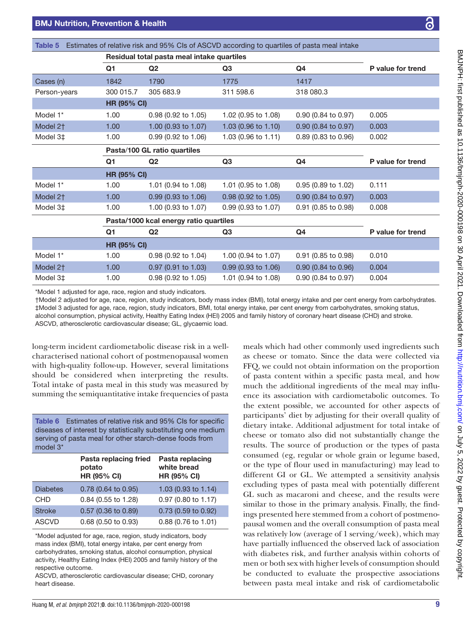<span id="page-8-0"></span>

| Table 5                                                                                                                                                                                                                                                    |                    |                                            | Estimates of relative risk and 95% CIs of ASCVD according to quartiles of pasta meal intake |                                                                                                                                                                                                                                |                   |
|------------------------------------------------------------------------------------------------------------------------------------------------------------------------------------------------------------------------------------------------------------|--------------------|--------------------------------------------|---------------------------------------------------------------------------------------------|--------------------------------------------------------------------------------------------------------------------------------------------------------------------------------------------------------------------------------|-------------------|
|                                                                                                                                                                                                                                                            |                    | Residual total pasta meal intake quartiles |                                                                                             |                                                                                                                                                                                                                                |                   |
|                                                                                                                                                                                                                                                            | Q <sub>1</sub>     | Q <sub>2</sub>                             | Q <sub>3</sub>                                                                              | Q4                                                                                                                                                                                                                             | P value for trend |
| Cases (n)                                                                                                                                                                                                                                                  | 1842               | 1790                                       | 1775                                                                                        | 1417                                                                                                                                                                                                                           |                   |
| Person-years                                                                                                                                                                                                                                               | 300 015.7          | 305 683.9                                  | 311 598.6                                                                                   | 318 080.3                                                                                                                                                                                                                      |                   |
|                                                                                                                                                                                                                                                            | <b>HR (95% CI)</b> |                                            |                                                                                             |                                                                                                                                                                                                                                |                   |
| Model 1*                                                                                                                                                                                                                                                   | 1.00               | 0.98 (0.92 to 1.05)                        | 1.02 (0.95 to 1.08)                                                                         | 0.90 (0.84 to 0.97)                                                                                                                                                                                                            | 0.005             |
| Model 2 <sup>+</sup>                                                                                                                                                                                                                                       | 1.00               | 1.00 (0.93 to 1.07)                        | 1.03 (0.96 to 1.10)                                                                         | 0.90 (0.84 to 0.97)                                                                                                                                                                                                            | 0.003             |
| Model 3‡                                                                                                                                                                                                                                                   | 1.00               | 0.99 (0.92 to 1.06)                        | 1.03 (0.96 to 1.11)                                                                         | 0.89 (0.83 to 0.96)                                                                                                                                                                                                            | 0.002             |
|                                                                                                                                                                                                                                                            |                    | Pasta/100 GL ratio quartiles               |                                                                                             |                                                                                                                                                                                                                                |                   |
|                                                                                                                                                                                                                                                            | Q1                 | Q <sub>2</sub>                             | Q <sub>3</sub>                                                                              | Q4                                                                                                                                                                                                                             | P value for trend |
|                                                                                                                                                                                                                                                            | <b>HR (95% CI)</b> |                                            |                                                                                             |                                                                                                                                                                                                                                |                   |
| Model 1*                                                                                                                                                                                                                                                   | 1.00               | 1.01 (0.94 to 1.08)                        | 1.01 (0.95 to 1.08)                                                                         | 0.95 (0.89 to 1.02)                                                                                                                                                                                                            | 0.111             |
| Model 2 <sup>+</sup>                                                                                                                                                                                                                                       | 1.00               | 0.99 (0.93 to 1.06)                        | 0.98 (0.92 to 1.05)                                                                         | 0.90 (0.84 to 0.97)                                                                                                                                                                                                            | 0.003             |
| Model 3‡                                                                                                                                                                                                                                                   | 1.00               | 1.00 (0.93 to 1.07)                        | 0.99 (0.93 to 1.07)                                                                         | 0.91 (0.85 to 0.98)                                                                                                                                                                                                            | 0.008             |
|                                                                                                                                                                                                                                                            |                    | Pasta/1000 kcal energy ratio quartiles     |                                                                                             |                                                                                                                                                                                                                                |                   |
|                                                                                                                                                                                                                                                            | Q1                 | Q <sub>2</sub>                             | Q <sub>3</sub>                                                                              | Q4                                                                                                                                                                                                                             | P value for trend |
|                                                                                                                                                                                                                                                            | <b>HR (95% CI)</b> |                                            |                                                                                             |                                                                                                                                                                                                                                |                   |
| Model 1*                                                                                                                                                                                                                                                   | 1.00               | 0.98 (0.92 to 1.04)                        | 1.00 (0.94 to 1.07)                                                                         | 0.91 (0.85 to 0.98)                                                                                                                                                                                                            | 0.010             |
| Model 2 <sup>+</sup>                                                                                                                                                                                                                                       | 1.00               | 0.97 (0.91 to 1.03)                        | 0.99 (0.93 to 1.06)                                                                         | 0.90 (0.84 to 0.96)                                                                                                                                                                                                            | 0.004             |
| Model 3‡                                                                                                                                                                                                                                                   | 1.00               | 0.98 (0.92 to 1.05)                        | 1.01 (0.94 to 1.08)                                                                         | 0.90 (0.84 to 0.97)                                                                                                                                                                                                            | 0.004             |
| *Model 1 adjusted for age, race, region and study indicators.<br>$\mathbf{A} \mathbf{A} \mathbf{A}$ and $\mathbf{A} \mathbf{A} \mathbf{A}$ and $\mathbf{A} \mathbf{A}$ and $\mathbf{A} \mathbf{A}$ and $\mathbf{A} \mathbf{A}$ and $\mathbf{A} \mathbf{A}$ |                    |                                            |                                                                                             | the contract of the distribution of the distribution of the ADMAN and also contracted to a state of the contract of the contract of the contract of the contract of the contract of the contract of the contract of the contra |                   |

†Model 2 adjusted for age, race, region, study indicators, body mass index (BMI), total energy intake and per cent energy from carbohydrates. ‡Model 3 adjusted for age, race, region, study indicators, BMI, total energy intake, per cent energy from carbohydrates, smoking status, alcohol consumption, physical activity, Healthy Eating Index (HEI) 2005 and family history of coronary heart disease (CHD) and stroke. ASCVD, atherosclerotic cardiovascular disease; GL, glycaemic load.

long-term incident cardiometabolic disease risk in a wellcharacterised national cohort of postmenopausal women with high-quality follow-up. However, several limitations should be considered when interpreting the results. Total intake of pasta meal in this study was measured by summing the semiquantitative intake frequencies of pasta

<span id="page-8-1"></span>Table 6 Estimates of relative risk and 95% CIs for specific diseases of interest by statistically substituting one medium serving of pasta meal for other starch-dense foods from model 3\*

| Pasta replacing fried<br>potato<br>HR (95% CI) | Pasta replacing<br>white bread<br>HR (95% CI) |  |
|------------------------------------------------|-----------------------------------------------|--|
| 0.78 (0.64 to 0.95)                            | 1.03 (0.93 to 1.14)                           |  |
| 0.84 (0.55 to 1.28)                            | 0.97 (0.80 to 1.17)                           |  |
| 0.57 (0.36 to 0.89)                            | 0.73 (0.59 to 0.92)                           |  |
| 0.68 (0.50 to 0.93)                            | 0.88 (0.76 to 1.01)                           |  |
|                                                |                                               |  |

\*Model adjusted for age, race, region, study indicators, body mass index (BMI), total energy intake, per cent energy from carbohydrates, smoking status, alcohol consumption, physical activity, Healthy Eating Index (HEI) 2005 and family history of the respective outcome.

ASCVD, atherosclerotic cardiovascular disease; CHD, coronary heart disease.

meals which had other commonly used ingredients such as cheese or tomato. Since the data were collected via FFQ, we could not obtain information on the proportion of pasta content within a specific pasta meal, and how much the additional ingredients of the meal may influence its association with cardiometabolic outcomes. To the extent possible, we accounted for other aspects of participants' diet by adjusting for their overall quality of dietary intake. Additional adjustment for total intake of cheese or tomato also did not substantially change the results. The source of production or the types of pasta consumed (eg, regular or whole grain or legume based, or the type of flour used in manufacturing) may lead to different GI or GL. We attempted a sensitivity analysis excluding types of pasta meal with potentially different GL such as macaroni and cheese, and the results were similar to those in the primary analysis. Finally, the findings presented here stemmed from a cohort of postmenopausal women and the overall consumption of pasta meal was relatively low (average of 1 serving/week), which may have partially influenced the observed lack of association with diabetes risk, and further analysis within cohorts of men or both sex with higher levels of consumption should be conducted to evaluate the prospective associations between pasta meal intake and risk of cardiometabolic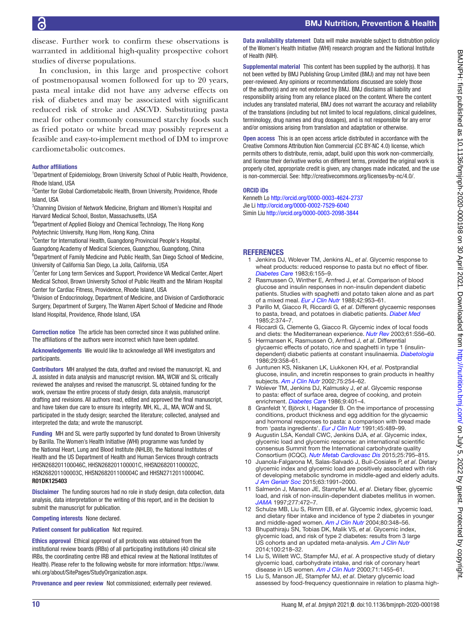disease. Further work to confirm these observations is warranted in additional high-quality prospective cohort studies of diverse populations.

In conclusion, in this large and prospective cohort of postmenopausal women followed for up to 20 years, pasta meal intake did not have any adverse effects on risk of diabetes and may be associated with significant reduced risk of stroke and ASCVD. Substituting pasta meal for other commonly consumed starchy foods such as fried potato or white bread may possibly represent a feasible and easy-to-implement method of DM to improve cardiometabolic outcomes.

#### Author affiliations

<sup>1</sup>Department of Epidemiology, Brown University School of Public Health, Providence, Rhode Island, USA

<sup>2</sup> Center for Global Cardiometabolic Health, Brown University, Providence, Rhode Island, USA

<sup>3</sup>Channing Division of Network Medicine, Brigham and Women's Hospital and Harvard Medical School, Boston, Massachusetts, USA

4 Department of Applied Biology and Chemical Technology, The Hong Kong Polytechnic University, Hung Hom, Hong Kong, China

<sup>5</sup>Center for International Health, Guangdong Provincial People's Hospital, Guangdong Academy of Medical Sciences, Guangzhou, Guangdong, China

<sup>6</sup>Department of Family Medicine and Public Health, San Diego School of Medicine, University of California San Diego, La Jolla, California, USA

<sup>7</sup> Center for Long term Services and Support, Providence VA Medical Center, Alpert Medical School, Brown University School of Public Health and the Miriam Hospital Center for Cardiac Fitness, Providence, Rhode Island, USA

<sup>8</sup> Division of Endocrinology, Department of Medicine, and Division of Cardiothoracic Surgery, Department of Surgery, The Warren Alpert School of Medicine and Rhode Island Hospital, Providence, Rhode Island, USA

Correction notice The article has been corrected since it was published online. The affiliations of the authors were incorrect which have been updated.

Acknowledgements We would like to acknowledge all WHI investigators and participants.

Contributors MH analysed the data, drafted and revised the manuscript. KL and JL assisted in data analysis and manuscript revision. MA, WCW and SL critically reviewed the analyses and revised the manuscript. SL obtained funding for the work, oversaw the entire process of study design, data analysis, manuscript drafting and revisions. All authors read, edited and approved the final manuscript, and have taken due care to ensure its integrity. MH, KL, JL, MA, WCW and SL participated in the study design; searched the literature; collected, analysed and interpreted the data; and wrote the manuscript.

Funding MH and SL were partly supported by fund donated to Brown University by Barilla. The Women's Health Initiative (WHI) programme was funded by the National Heart, Lung and Blood Institute (NHLBI), the National Institutes of Health and the US Department of Health and Human Services through contracts HHSN268201100046C, HHSN268201100001C, HHSN268201100002C, HSN268201100003C, HHSN268201100004C and HHSN271201100004C. R01DK125403

**Disclaimer** The funding sources had no role in study design, data collection, data analysis, data interpretation or the writing of this report, and in the decision to submit the manuscript for publication.

Competing interests None declared.

Patient consent for publication Not required.

Ethics approval Ethical approval of all protocols was obtained from the institutional review boards (IRBs) of all participating institutions (40 clinical site IRBs, the coordinating centre IRB and ethical review at the National Institutes of Health). Please refer to the following website for more information: [https://www.](https://www.whi.org/about/SitePages/StudyOrganization.aspx) [whi.org/about/SitePages/StudyOrganization.aspx.](https://www.whi.org/about/SitePages/StudyOrganization.aspx)

Provenance and peer review Not commissioned; externally peer reviewed.

Data availability statement Data will make avaviable subject to distrubtion policiy of the Women's Health Initiative (WHI) research program and the National Institute of Health (NIH).

Supplemental material This content has been supplied by the author(s). It has not been vetted by BMJ Publishing Group Limited (BMJ) and may not have been peer-reviewed. Any opinions or recommendations discussed are solely those of the author(s) and are not endorsed by BMJ. BMJ disclaims all liability and responsibility arising from any reliance placed on the content. Where the content includes any translated material, BMJ does not warrant the accuracy and reliability of the translations (including but not limited to local regulations, clinical guidelines, terminology, drug names and drug dosages), and is not responsible for any error and/or omissions arising from translation and adaptation or otherwise.

Open access This is an open access article distributed in accordance with the Creative Commons Attribution Non Commercial (CC BY-NC 4.0) license, which permits others to distribute, remix, adapt, build upon this work non-commercially, and license their derivative works on different terms, provided the original work is properly cited, appropriate credit is given, any changes made indicated, and the use is non-commercial. See: [http://creativecommons.org/licenses/by-nc/4.0/.](http://creativecommons.org/licenses/by-nc/4.0/)

#### ORCID iDs

Kenneth Lo<http://orcid.org/0000-0003-4624-2737> Jie Li <http://orcid.org/0000-0002-7529-6040> Simin Liu<http://orcid.org/0000-0003-2098-3844>

## **REFERENCES**

- <span id="page-9-0"></span>1 Jenkins DJ, Wolever TM, Jenkins AL, *et al*. Glycemic response to wheat products: reduced response to pasta but no effect of fiber. *[Diabetes Care](http://dx.doi.org/10.2337/diacare.6.2.155)* 1983;6:155–9.
- <span id="page-9-1"></span>2 Rasmussen O, Winther E, Arnfred J, *et al*. Comparison of blood glucose and insulin responses in non-insulin dependent diabetic patients. Studies with spaghetti and potato taken alone and as part of a mixed meal. *[Eur J Clin Nutr](http://www.ncbi.nlm.nih.gov/pubmed/3074922)* 1988;42:953–61.
- 3 Parillo M, Giacco R, Riccardi G, *et al*. Different glycaemic responses to pasta, bread, and potatoes in diabetic patients. *[Diabet Med](http://dx.doi.org/10.1111/j.1464-5491.1985.tb00655.x)* 1985;2:374–7.
- <span id="page-9-4"></span>4 Riccardi G, Clemente G, Giacco R. Glycemic index of local foods and diets: the Mediterranean experience. *[Nutr Rev](http://dx.doi.org/10.1301/nr.2003.may.S56-S60)* 2003;61:S56–60.
- <span id="page-9-2"></span>5 Hermansen K, Rasmussen O, Arnfred J, *et al*. Differential glycaemic effects of potato, rice and spaghetti in type 1 (insulindependent) diabetic patients at constant insulinaemia. *[Diabetologia](http://dx.doi.org/10.1007/BF00903344)* 1986;29:358–61.
- <span id="page-9-3"></span>6 Juntunen KS, Niskanen LK, Liukkonen KH, *et al*. Postprandial glucose, insulin, and incretin responses to grain products in healthy subjects. *[Am J Clin Nutr](http://dx.doi.org/10.1093/ajcn/75.2.254)* 2002;75:254–62.
- <span id="page-9-8"></span>7 Wolever TM, Jenkins DJ, Kalmusky J, *et al*. Glycemic response to pasta: effect of surface area, degree of cooking, and protein enrichment. *[Diabetes Care](http://dx.doi.org/10.2337/diacare.9.4.401)* 1986;9:401–4.
- 8 Granfeldt Y, Björck I, Hagander B. On the importance of processing conditions, product thickness and egg addition for the glycaemic and hormonal responses to pasta: a comparison with bread made from 'pasta ingredients'. *[Eur J Clin Nutr](http://www.ncbi.nlm.nih.gov/pubmed/1782920)* 1991;45:489–99.
- <span id="page-9-5"></span>9 Augustin LSA, Kendall CWC, Jenkins DJA, *et al*. Glycemic index, glycemic load and glycemic response: an international scientific consensus Summit from the International carbohydrate quality Consortium (ICQC). *[Nutr Metab Cardiovasc Dis](http://dx.doi.org/10.1016/j.numecd.2015.05.005)* 2015;25:795–815.
- <span id="page-9-6"></span>10 Juanola-Falgarona M, Salas-Salvadó J, Buil-Cosiales P, *et al*. Dietary glycemic index and glycemic load are positively associated with risk of developing metabolic syndrome in middle-aged and elderly adults. *[J Am Geriatr Soc](http://dx.doi.org/10.1111/jgs.13668)* 2015;63:1991–2000.
- <span id="page-9-9"></span>11 Salmerón J, Manson JE, Stampfer MJ, *et al*. Dietary fiber, glycemic load, and risk of non-insulin-dependent diabetes mellitus in women. *[JAMA](http://dx.doi.org/10.1001/jama.1997.03540300040031)* 1997;277:472–7.
- 12 Schulze MB, Liu S, Rimm EB, *et al*. Glycemic index, glycemic load, and dietary fiber intake and incidence of type 2 diabetes in younger and middle-aged women. *[Am J Clin Nutr](http://dx.doi.org/10.1093/ajcn/80.2.348)* 2004;80:348–56.
- 13 Bhupathiraju SN, Tobias DK, Malik VS, *et al*. Glycemic index, glycemic load, and risk of type 2 diabetes: results from 3 large US cohorts and an updated meta-analysis. *[Am J Clin Nutr](http://dx.doi.org/10.3945/ajcn.113.079533)* 2014;100:218–32.
- <span id="page-9-10"></span>14 Liu S, Willett WC, Stampfer MJ, *et al*. A prospective study of dietary glycemic load, carbohydrate intake, and risk of coronary heart disease in US women. *[Am J Clin Nutr](http://dx.doi.org/10.1093/ajcn/71.6.1455)* 2000;71:1455–61.
- <span id="page-9-7"></span>Liu S, Manson JE, Stampfer MJ, et al. Dietary glycemic load assessed by food-frequency questionnaire in relation to plasma high-